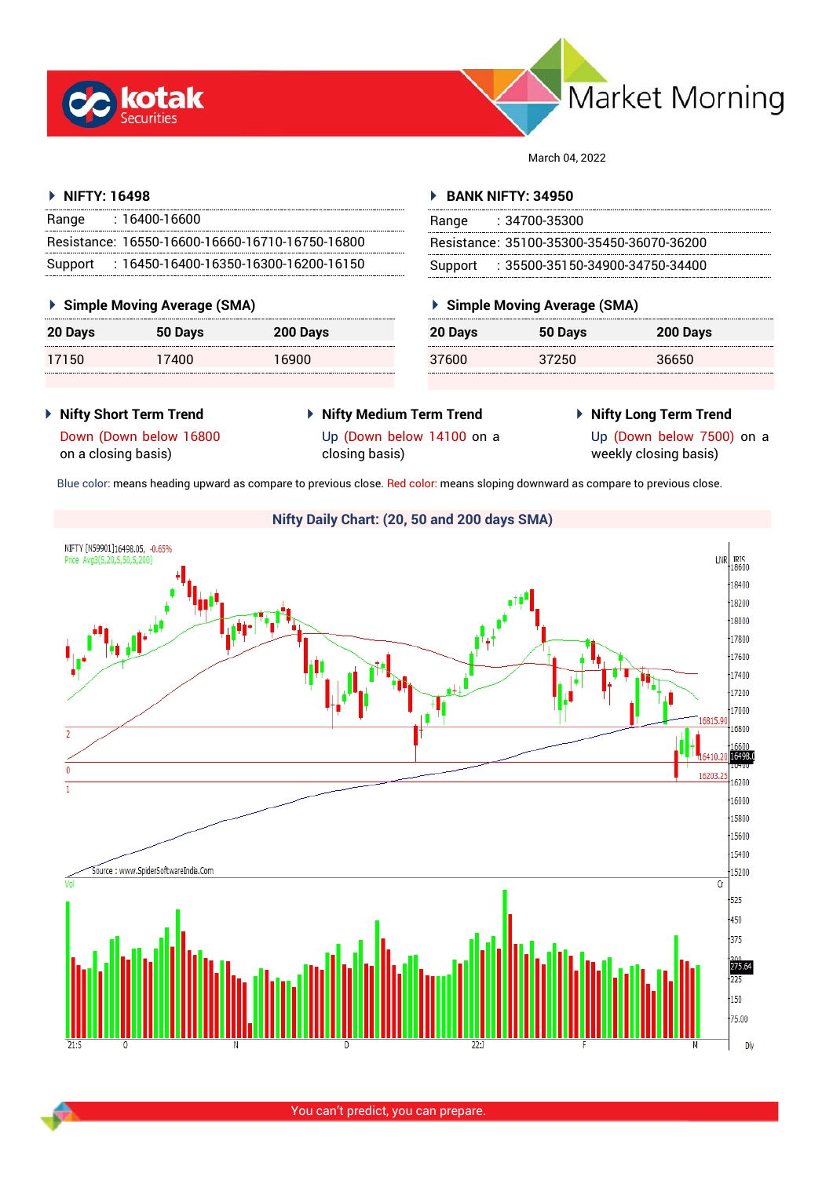



March 04, 2022

### **NIFTY: 16498**

| Range   | : 16400-16600                                   |
|---------|-------------------------------------------------|
|         | Resistance: 16550-16600-16660-16710-16750-16800 |
| Support | $: 16450$ -16400-16350-16300-16200-16150        |

### **Simple Moving Average (SMA)**

| 20 Days | 50 Days | 200 Days |
|---------|---------|----------|
| 17150   | 17400   | 16900    |

### **BANK NIFTY: 34950**

| Range | : 34700-35300                             |
|-------|-------------------------------------------|
|       | Resistance: 35100-35300-35450-36070-36200 |
|       | Support : 35500-35150-34900-34750-34400   |

### **Simple Moving Average (SMA)**

| 20 Days | 50 Days | 200 Days |
|---------|---------|----------|
| 37600   | 37250   | 36650    |

- **Nifty Short Term Trend**
- **Nifty Medium Term Trend**
- **Nifty Long Term Trend**
- Down (Down below 16800 on a closing basis)
- Up (Down below 14100 on a closing basis)
- 

Up (Down below 7500) on a weekly closing basis)

Blue color: means heading upward as compare to previous close. Red color: means sloping downward as compare to previous close.



**Nifty Daily Chart: (20, 50 and 200 days SMA)**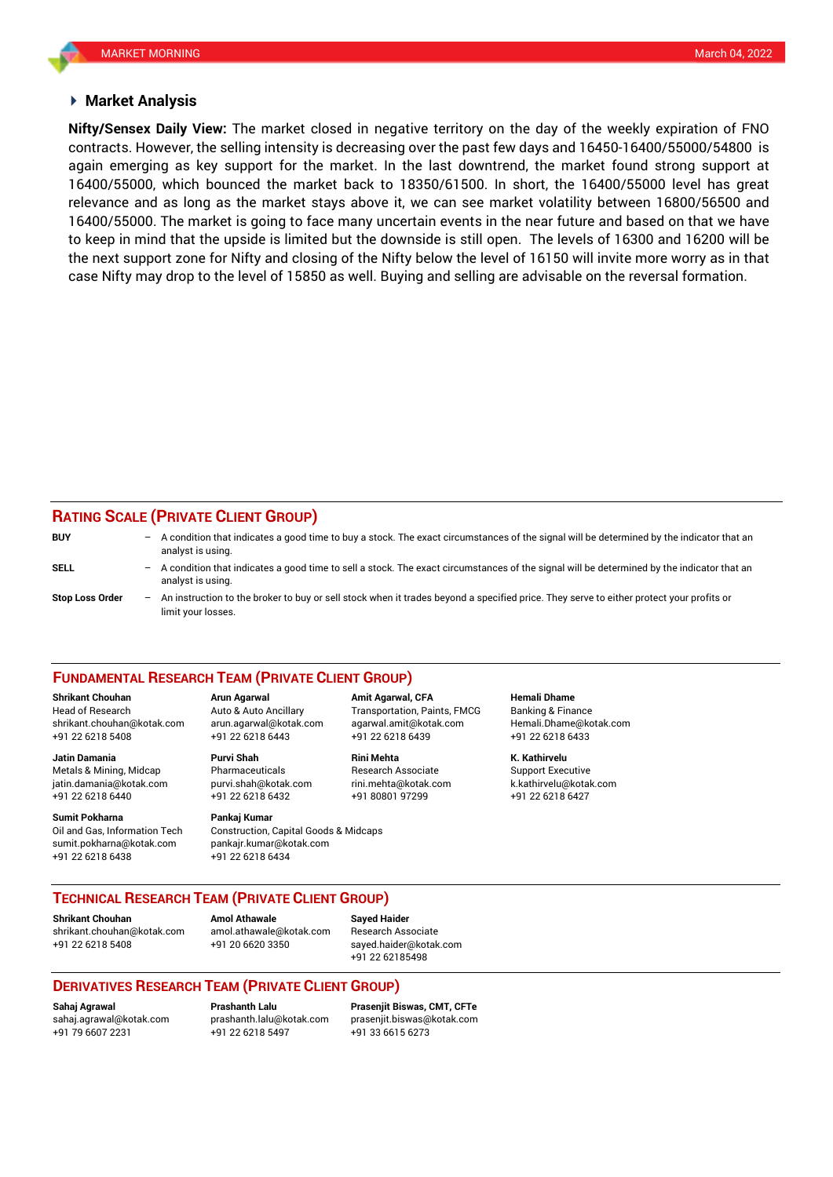### **Market Analysis**

contracts. However, the selling intensity is decreasing over the past few days and 16450-16400/55000/54800 is **Nifty/Sensex Daily View:** The market closed in negative territory on the day of the weekly expiration of FNO again emerging as key support for the market. In the last downtrend, the market found strong support at 16400/55000, which bounced the market back to 18350/61500. In short, the 16400/55000 level has great relevance and as long as the market stays above it, we can see market volatility between 16800/56500 and 16400/55000. The market is going to face many uncertain events in the near future and based on that we have to keep in mind that the upside is limited but the downside is still open. The levels of 16300 and 16200 will be the next support zone for Nifty and closing of the Nifty below the level of 16150 will invite more worry as in that case Nifty may drop to the level of 15850 as well. Buying and selling are advisable on the reversal formation.

## **RATING SCALE (PRIVATE CLIENT GROUP)**

| <b>BUY</b>      | -                 | A condition that indicates a good time to buy a stock. The exact circumstances of the signal will be determined by the indicator that an<br>analyst is using.  |
|-----------------|-------------------|----------------------------------------------------------------------------------------------------------------------------------------------------------------|
| SELL            | -                 | A condition that indicates a good time to sell a stock. The exact circumstances of the signal will be determined by the indicator that an<br>analyst is using. |
| Stop Loss Order | $\qquad \qquad -$ | An instruction to the broker to buy or sell stock when it trades beyond a specified price. They serve to either protect your profits or<br>limit your losses.  |

### **FUNDAMENTAL RESEARCH TEAM (PRIVATE CLIENT GROUP)**

Head of Research Auto & Auto Ancillary Transportation, Paints, FMCG Banking & Finance [shrikant.chouhan@kotak.com](mailto:shrikant.chouhan@kotak.com) arun.agarwal@kotak.com agarwal.amit@kotak.com Hemali.Dhame@kotak.com

**Jatin Damania Purvi Shah Rini Mehta K. Kathirvelu** Metals & Mining, Midcap Pharmaceuticals Research Associate Support Executive jatin.damania@kotak.com [purvi.shah@kotak.com](mailto:purvi.shah@kotak.com) rini.mehta@kotak.com [k.kathirvelu@kotak.com](mailto:k.kathirvelu@kotak.com) +91 22 6218 6440 +91 22 6218 6432 +91 80801 97299 +91 22 6218 6427

Oil and Gas, Information Tech Construction, Capital Goods & Midcaps sumit.pokharna@kotak.com pankajr.kumar@kotak.com +91 22 6218 6438 +91 22 6218 6434

+91 22 6218 5408 +91 22 6218 6443 +91 22 6218 6439 +91 22 6218 6433

# **Sumit Pokharna** Pankaj Kumar

**Shrikant Chouhan Arun Agarwal Amit Agarwal, CFA Hemali Dhame**

### **TECHNICAL RESEARCH TEAM (PRIVATE CLIENT GROUP)**

**Shrikant Chouhan Amol Athawale Sayed Haider**

[shrikant.chouhan@kotak.com](mailto:shrikant.chouhan@kotak.com) [amol.athawale@kotak.com](mailto:amol.athawale@kotak.com) Research Associate +91 22 6218 5408 +91 20 6620 3350 [sayed.haider@kotak.com](mailto:sayed.haider@kotak.com)

+91 22 62185498

### **DERIVATIVES RESEARCH TEAM (PRIVATE CLIENT GROUP)**

+91 22 6218 5497 +91 33 6615 6273

**Sahaj Agrawal Prashanth Lalu Prasenjit Biswas, CMT, CFTe** [sahaj.agrawal@kotak.com](mailto:sahaj.agrawal@kotak.com) [prashanth.lalu@kotak.com](mailto:prashanth.lalu@kotak.com) [prasenjit.biswas@kotak.com](mailto:prasenjit.biswas@kotak.com)